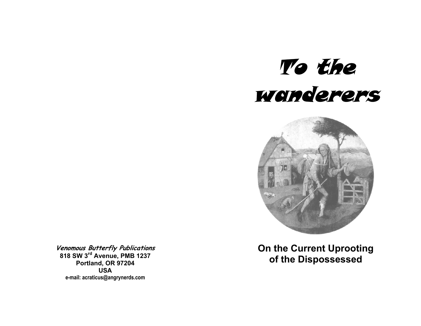



**Venomous Butterfly Publications 818 SW 3rd Avenue, PMB 1237 Portland, OR 97204 USA e-mail: acraticus@angrynerds.com** 

**On the Current Uprooting of the Dispossessed**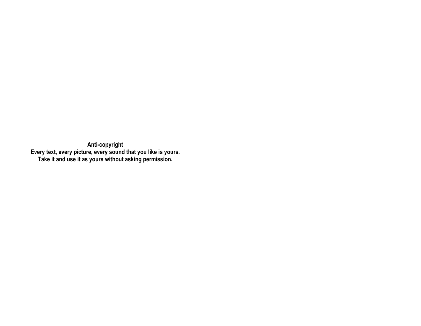**Anti-copyright Every text, every picture, every sound that you like is yours. Take it and use it as yours without asking permission.**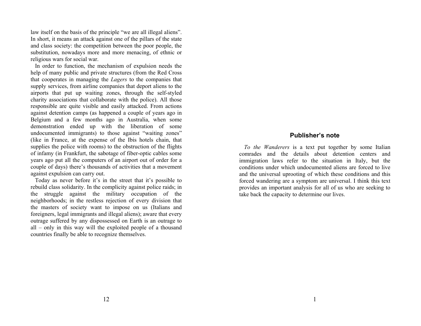law itself on the basis of the principle "we are all illegal aliens". In short, it means an attack against one of the pillars of the state and class society: the competition between the poor people, the substitution, nowadays more and more menacing, of ethnic or religious wars for social war.

 In order to function, the mechanism of expulsion needs the help of many public and private structures (from the Red Cross that cooperates in managing the *Lagers* to the companies that supply services, from airline companies that deport aliens to the airports that put up waiting zones, through the self-styled charity associations that collaborate with the police). All those responsible are quite visible and easily attacked. From actions against detention camps (as happened a couple of years ago in Belgium and a few months ago in Australia, when some demonstration ended up with the liberation of some undocumented immigrants) to those against "waiting zones" (like in France, at the expense of the Ibis hotels chain, that supplies the police with rooms) to the obstruction of the flights of infamy (in Frankfurt, the sabotage of fiber-optic cables some years ago put all the computers of an airport out of order for a couple of days) there's thousands of activities that a movement against expulsion can carry out.

 Today as never before it's in the street that it's possible to rebuild class solidarity. In the complicity against police raids; in the struggle against the military occupation of the neighborhoods; in the restless rejection of every division that the masters of society want to impose on us (Italians and foreigners, legal immigrants and illegal aliens); aware that every outrage suffered by any dispossessed on Earth is an outrage to all – only in this way will the exploited people of a thousand countries finally be able to recognize themselves.

# **Publisher's note**

*To the Wanderers* is a text put together by some Italian comrades and the details about detention centers and immigration laws refer to the situation in Italy, but the conditions under which undocumented aliens are forced to live and the universal uprooting of which these conditions and this forced wandering are a symptom are universal. I think this text provides an important analysis for all of us who are seeking to take back the capacity to determine our lives.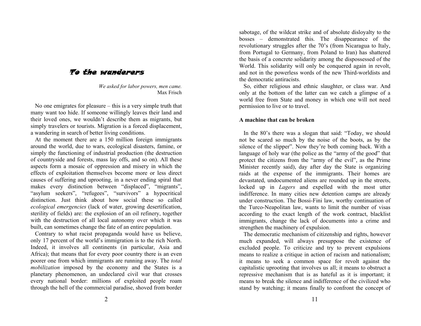# To the wanderers

*We asked for labor powers, men came.*  Max Frisch

 No one emigrates for pleasure – this is a very simple truth that many want too hide. If someone willingly leaves their land and their loved ones, we wouldn't describe them as migrants, but simply travelers or tourists. Migration is a forced displacement, a wandering in search of better living conditions.

 At the moment there are a 150 million foreign immigrants around the world, due to wars, ecological disasters, famine, or simply the functioning of industrial production (the destruction of countryside and forests, mass lay offs, and so on). All these aspects form a mosaic of oppression and misery in which the effects of exploitation themselves become more or less direct causes of suffering and uprooting, in a never ending spiral that makes every distinction between "displaced", "migrants", "asylum seekers", "refugees", "survivors" a hypocritical distinction. Just think about how social these so called *ecological emergencies* (lack of water, growing desertification, sterility of fields) are: the explosion of an oil refinery, together with the destruction of all local autonomy over which it was built, can sometimes change the fate of an entire population.

 Contrary to what racist propaganda would have us believe, only 17 percent of the world's immigration is to the rich North. Indeed, it involves all continents (in particular, Asia and Africa); that means that for every poor country there is an even poorer one from which immigrants are running away. The *total mobilization* imposed by the economy and the States is a planetary phenomenon, an undeclared civil war that crosses every national border: millions of exploited people roam through the hell of the commercial paradise, shoved from border

sabotage, of the wildcat strike and of absolute disloyalty to the bosses – demonstrated this. The disappearance of the revolutionary struggles after the 70's (from Nicaragua to Italy, from Portugal to Germany, from Poland to Iran) has shattered the basis of a concrete solidarity among the dispossessed of the World. This solidarity will only be conquered again in revolt, and not in the powerless words of the new Third-worldists and the democratic antiracists.

 So, either religious and ethnic slaughter, or class war. And only at the bottom of the latter can we catch a glimpse of a world free from State and money in which one will not need permission to live or to travel.

#### **A machine that can be broken**

 In the 80's there was a slogan that said: "Today, we should not be scared so much by the noise of the boots, as by the silence of the slipper". Now they're both coming back. With a language of holy war (the police as the "army of the good" that protect the citizens from the "army of the evil", as the Prime Minister recently said), day after day the State is organizing raids at the expense of the immigrants. Their homes are devastated, undocumented aliens are rounded up in the streets, locked up in *Lagers* and expelled with the most utter indifference. In many cities new detention camps are already under construction. The Bossi-Fini law, worthy continuation of the Turco-Neapolitan law, wants to limit the number of visas according to the exact length of the work contract, blacklist immigrants, change the lack of documents into a crime and strengthen the machinery of expulsion.

 The democratic mechanism of citizenship and rights, however much expanded, will always presuppose the existence of excluded people. To criticize and try to prevent expulsions means to realize a critique in action of racism and nationalism; it means to seek a common space for revolt against the capitalistic uprooting that involves us all; it means to obstruct a repressive mechanism that is as hateful as it is important; it means to break the silence and indifference of the civilized who stand by watching; it means finally to confront the concept of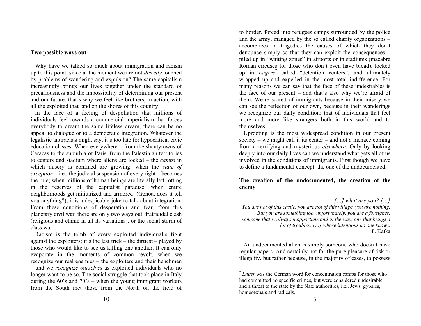#### **Two possible ways out**

 Why have we talked so much about immigration and racism up to this point, since at the moment we are not *directly* touched by problems of wandering and expulsion? The same capitalism increasingly brings our lives together under the standard of precariousness and the impossibility of determining our present and our future: that's why we feel like brothers, in action, with all the exploited that land on the shores of this country.

 In the face of a feeling of despoliation that millions of individuals feel towards a commercial imperialism that forces everybody to dream the same lifeless dream, there can be no appeal to dialogue or to a democratic integration. Whatever the legalistic antiracists might say, it's too late for hypocritical civic education classes. When everywhere – from the shantytowns of Caracas to the suburbia of Paris, from the Palestinian territories to centers and stadium where aliens are locked – the *camps* in which misery is confined are growing; when the *state of exception* – i.e., the judicial suspension of every right – becomes the rule; when millions of human beings are literally left rotting in the reserves of the capitalist paradise; when entire neighborhoods get militarized and armored (Genoa, does it tell you anything?), it is a despicable joke to talk about integration. From these conditions of desperation and fear, from this planetary civil war, there are only two ways out: fratricidal clash (religious and ethnic in all its variations), or the social storm of class war.

 Racism is the tomb of every exploited individual's fight against the exploiters; it's the last trick – the dirtiest – played by those who would like to see us killing one another. It can only evaporate in the moments of common revolt, when we recognize our real enemies – the exploiters and their henchmen – and we *recognize ourselves* as exploited individuals who no longer want to be so. The social struggle that took place in Italy during the 60's and 70's – when the young immigrant workers from the South met those from the North on the field of

to border, forced into refugees camps surrounded by the police and the army, managed by the so called charity organizations – accomplices in tragedies the causes of which they don't denounce simply so that they can exploit the consequences – piled up in "waiting zones" in airports or in stadiums (macabre Roman circuses for those who don't even have bread), locked up in *Lagers\** called "detention centers", and ultimately wrapped up and expelled in the most total indifference. For many reasons we can say that the face of these undesirables is the face of our present – and that's also why we're afraid of them. We're scared of immigrants because in their misery we can see the reflection of our own, because in their wanderings we recognize our daily condition: that of individuals that feel more and more like strangers both in this world and to themselves.

 Uprooting is the most widespread condition in our present society – we might call it its center – and not a menace coming from a terrifying and mysterious *elsewhere*. Only by looking deeply into our daily lives can we understand what gets all of us involved in the conditions of immigrants. First though we have to define a fundamental concept: the one of the undocumented.

### **The creation of the undocumented, the creation of the enemy**

*[…] what are you? […] You are not of this castle, you are not of this village, you are nothing. But you are something too, unfortunately, you are a foreigner, someone that is always inopportune and in the way, one that brings a lot of troubles, […] whose intentions no one knows.*  F. Kafka

 An undocumented alien is simply someone who doesn't have regular papers. And certainly not for the pure pleasure of risk or illegality, but rather because, in the majority of cases, to possess

<sup>\*</sup> *Lager* was the German word for concentration camps for those who had committed no specific crimes, but were considered undesirable and a threat to the state by the Nazi authorities, i.e., Jews, gypsies, homosexuals and radicals.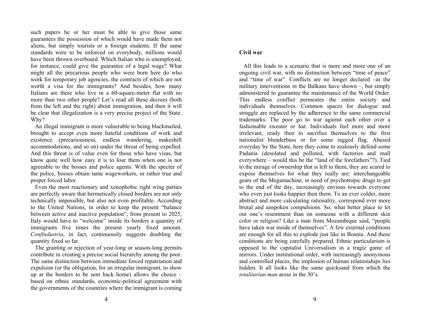such papers he or her must be able to give those same guarantees the possession of which would have made them not aliens, but simply tourists or a foreign students. If the same standards were to be enforced on everybody, millions would have been thrown overboard. Which Italian who is unemployed, for instance, could give the guarantee of a legal wage? What might all the precarious people who were born here do who work for temporary job agencies, the contracts of which are not worth a visa for the immigrants? And besides, how many Italians are there who live in a 60-square-meter flat with no more than two other people? Let's read all these decrees (both from the left and the right) about immigration, and then it will be clear that illegalization is a very precise project of the State. Why?

 An illegal immigrant is more vulnerable to being blackmailed, brought to accept even more hateful conditions of work and existence (precariousness, endless wandering, makeshift accommodations, and so on) under the threat of being expelled. And this threat is of value even for those who have visas, but know quite well how easy it is to lose them when one is not agreeable to the bosses and police agents. With the specter of the police, bosses obtain tame wageworkers, or rather true and proper forced labor.

 Even the most reactionary and xenophobic right wing parties are perfectly aware that hermetically closed borders are not only technically impossible, but also not even profitable. According to the United Nations, in order to keep the present "balance between active and inactive population", from present to 2025, Italy would have to "welcome" inside its borders a quantity of immigrants five times the present yearly fixed amount. *Confindustria*, in fact, continuously suggests doubling the quantity fixed so far.

 The granting or rejection of year-long or season-long permits contribute in creating a precise social hierarchy among the poor. The same distinction between immediate forced repatriation and expulsion (or the obligation, for an irregular immigrant, to show up at the borders to be sent back home) allows the choice – based on ethnic standards, economic-political agreement with the governments of the countries where the immigrant is coming

## **Civil war**

 All this leads to a scenario that is more and more one of an ongoing civil war, with no distinction between "time of peace" and "time of war". Conflicts are no longer declared –as the military interventions in the Balkans have shown –, but simply administered to guarantee the maintenance of the World Order. This endless conflict permeates the entire society and individuals themselves. Common spaces for dialogue and struggle are replaced by the adherence to the same commercial trademarks. The poor go to war against each other over a fashionable sweater or hat. Individuals feel more and more irrelevant, ready then to sacrifice themselves to the first nationalist blunderbuss or for some ragged flag. Abused everyday by the State, here they come to zealously defend some Padania (desolated and polluted, with factories and mall everywhere – would this be the "land of the forefathers"?). Tied to the mirage of ownership that is left to them, they are scared to expose themselves for what they really are: interchangeable gears of the Megamachine, in need of psychotropic drugs to get to the end of the day, increasingly envious towards everyone who even just looks happier then them. To an ever colder, more abstract and more calculating rationality, correspond ever more brutal and unspoken compulsions. So, what better place to let out one's resentment than on someone with a different skin color or religion? Like a man from Mozambique said, "people have taken war inside of themselves". A few external conditions are enough for all this to explode just like in Bosnia. And these conditions are being carefully prepared. Ethnic particularism is opposed to the capitalist Universalism in a tragic game of mirrors. Under institutional order, with increasingly anonymous and controlled places, the implosion of human relationships lies hidden. It all looks like the same quicksand from which the *totalitarian man* arose in the 30's.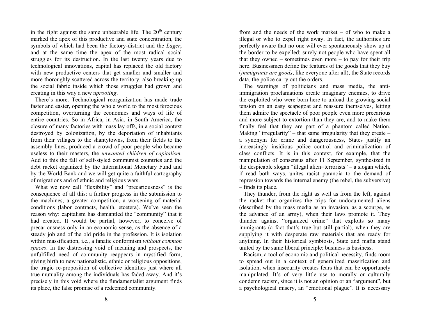in the fight against the same unbearable life. The  $20<sup>th</sup>$  century marked the apex of this productive and state concentration, the symbols of which had been the factory-district and the *Lager*, and at the same time the apex of the most radical social struggles for its destruction. In the last twenty years due to technological innovations, capital has replaced the old factory with new productive centers that get smaller and smaller and more thoroughly scattered across the territory, also breaking up the social fabric inside which those struggles had grown and creating in this way a new *uprooting*.

 There's more. Technological reorganization has made trade faster and easier, opening the whole world to the most ferocious competition, overturning the economies and ways of life of entire countries. So in Africa, in Asia, in South America, the closure of many factories with mass lay offs, in a social context destroyed by colonization, by the deportation of inhabitants from their villages to the shantytowns, from their fields to the assembly lines, produced a crowd of poor people who became useless to their masters, the *unwanted children of capitalism*. Add to this the fall of self-styled communist countries and the debt racket organized by the International Monetary Fund and by the World Bank and we will get quite a faithful cartography of migrations and of ethnic and religious wars.

What we now call "flexibility" and "precariousness" is the consequence of all this: a further progress in the submission to the machines, a greater competition, a worsening of material conditions (labor contracts, health, etcetera). We've seen the reason why: capitalism has dismantled the "community" that it had created. It would be partial, however, to conceive of precariousness only in an economic sense, as the absence of a steady job and of the old pride in the profession. It is isolation within massification, i.e., a fanatic conformism *without common spaces*. In the distressing void of meaning and prospects, the unfulfilled need of community reappears in mystified form, giving birth to new nationalistic, ethnic or religious oppositions, the tragic re-proposition of collective identities just where all true mutuality among the individuals has faded away. And it's precisely in this void where the fundamentalist argument finds its place, the false promise of a redeemed community.

from and the needs of the work market – of who to make a illegal or who to expel right away. In fact, the authorities are perfectly aware that no one will ever spontaneously show up at the border to be expelled; surely not people who have spent all that they owned – sometimes even more – to pay for their trip here. Businessmen define the features of the goods that they buy (*immigrants are goods*, like everyone after all), the State records data, the police carry out the orders.

 The warnings of politicians and mass media, the antiimmigration proclamations create imaginary enemies, to drive the exploited who were born here to unload the growing social tension on an easy scapegoat and reassure themselves, letting them admire the spectacle of poor people even more precarious and more subject to extortion than they are, and to make them finally feel that they are part of a phantom called Nation. Making "irregularity" – that same irregularity that they create – a synonym for crime and dangerousness, States justify an increasingly insidious police control and criminalization of class conflicts. It is in this context, for example, that the manipulation of consensus after 11 September, synthesized in the despicable slogan "illegal alien=terrorists" – a slogan which, if read both ways, unites racist paranoia to the demand of repression towards the internal enemy (the rebel, the subversive) – finds its place.

 They thunder, from the right as well as from the left, against the racket that organizes the trips for undocumented aliens (described by the mass media as an invasion, as a scourge, as the advance of an army), when their laws promote it. They thunder against "organized crime" that exploits so many immigrants (a fact that's true but still partial), when they are supplying it with desperate raw materials that are ready for anything. In their historical symbiosis, State and mafia stand united by the same liberal principle: business is business.

 Racism, a tool of economic and political necessity, finds room to spread out in a context of generalized massification and isolation, when insecurity creates fears that can be opportunely manipulated. It's of very little use to morally or culturally condemn racism, since it is not an opinion or an "argument", but a psychological misery, an "emotional plague". It is necessary